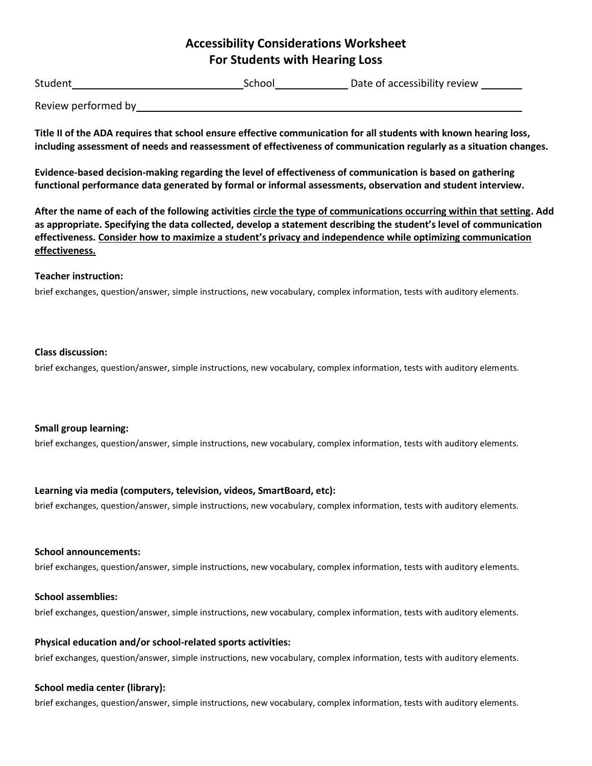# **Accessibility Considerations Worksheet For Students with Hearing Loss**

| Student             | School | Date of accessibility review |
|---------------------|--------|------------------------------|
| Review performed by |        |                              |

**Title II of the ADA requires that school ensure effective communication for all students with known hearing loss, including assessment of needs and reassessment of effectiveness of communication regularly as a situation changes.** 

**Evidence-based decision-making regarding the level of effectiveness of communication is based on gathering functional performance data generated by formal or informal assessments, observation and student interview.** 

**After the name of each of the following activities circle the type of communications occurring within that setting. Add as appropriate. Specifying the data collected, develop a statement describing the student's level of communication effectiveness. Consider how to maximize a student's privacy and independence while optimizing communication effectiveness.** 

#### **Teacher instruction:**

brief exchanges, question/answer, simple instructions, new vocabulary, complex information, tests with auditory elements.

#### **Class discussion:**

brief exchanges, question/answer, simple instructions, new vocabulary, complex information, tests with auditory elements.

## **Small group learning:**

brief exchanges, question/answer, simple instructions, new vocabulary, complex information, tests with auditory elements.

## **Learning via media (computers, television, videos, SmartBoard, etc):**

brief exchanges, question/answer, simple instructions, new vocabulary, complex information, tests with auditory elements.

#### **School announcements:**

brief exchanges, question/answer, simple instructions, new vocabulary, complex information, tests with auditory elements.

## **School assemblies:**

brief exchanges, question/answer, simple instructions, new vocabulary, complex information, tests with auditory elements.

## **Physical education and/or school-related sports activities:**

brief exchanges, question/answer, simple instructions, new vocabulary, complex information, tests with auditory elements.

## **School media center (library):**

brief exchanges, question/answer, simple instructions, new vocabulary, complex information, tests with auditory elements.